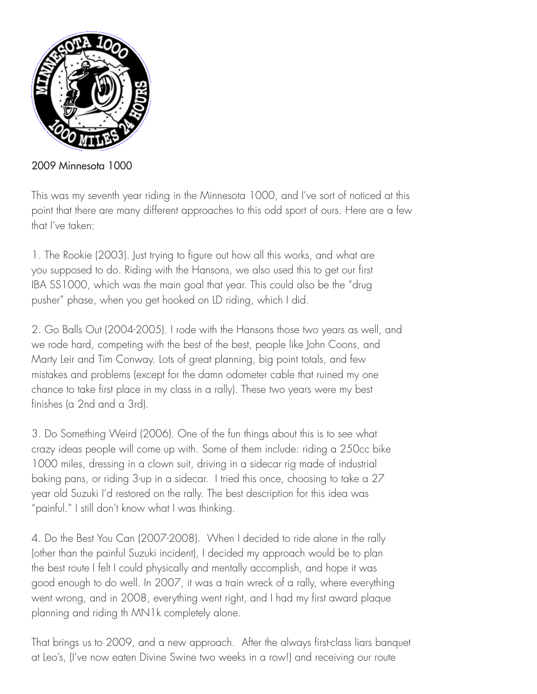

2009 Minnesota 1000

This was my seventh year riding in the Minnesota 1000, and I've sort of noticed at this point that there are many different approaches to this odd sport of ours. Here are a few that I've taken:

1. The Rookie (2003). Just trying to figure out how all this works, and what are you supposed to do. Riding with the Hansons, we also used this to get our first IBA SS1000, which was the main goal that year. This could also be the "drug pusher" phase, when you get hooked on LD riding, which I did.

2. Go Balls Out (2004-2005). I rode with the Hansons those two years as well, and we rode hard, competing with the best of the best, people like John Coons, and Marty Leir and Tim Conway. Lots of great planning, big point totals, and few mistakes and problems (except for the damn odometer cable that ruined my one chance to take first place in my class in a rally). These two years were my best finishes (a 2nd and a 3rd).

3. Do Something Weird (2006). One of the fun things about this is to see what crazy ideas people will come up with. Some of them include: riding a 250cc bike 1000 miles, dressing in a clown suit, driving in a sidecar rig made of industrial baking pans, or riding 3-up in a sidecar. I tried this once, choosing to take a 27 year old Suzuki I'd restored on the rally. The best description for this idea was "painful." I still don't know what I was thinking.

4. Do the Best You Can (2007-2008). When I decided to ride alone in the rally (other than the painful Suzuki incident), I decided my approach would be to plan the best route I felt I could physically and mentally accomplish, and hope it was good enough to do well. In 2007, it was a train wreck of a rally, where everything went wrong, and in 2008, everything went right, and I had my first award plaque planning and riding th MN1k completely alone.

That brings us to 2009, and a new approach. After the always first-class liars banquet at Leo's, (I've now eaten Divine Swine two weeks in a row!) and receiving our route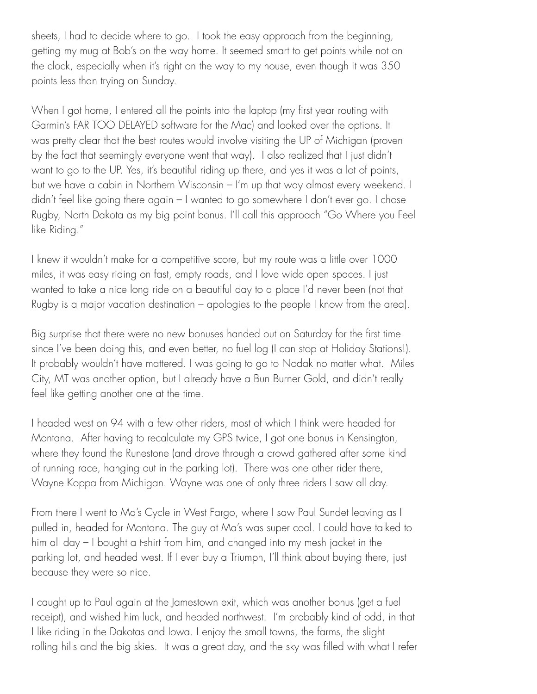sheets, I had to decide where to go. I took the easy approach from the beginning, getting my mug at Bob's on the way home. It seemed smart to get points while not on the clock, especially when it's right on the way to my house, even though it was 350 points less than trying on Sunday.

When I got home, I entered all the points into the laptop (my first year routing with Garmin's FAR TOO DELAYED software for the Mac) and looked over the options. It was pretty clear that the best routes would involve visiting the UP of Michigan (proven by the fact that seemingly everyone went that way). I also realized that I just didn't want to go to the UP. Yes, it's beautiful riding up there, and yes it was a lot of points, but we have a cabin in Northern Wisconsin – I'm up that way almost every weekend. I didn't feel like going there again – I wanted to go somewhere I don't ever go. I chose Rugby, North Dakota as my big point bonus. I'll call this approach "Go Where you Feel like Riding."

I knew it wouldn't make for a competitive score, but my route was a little over 1000 miles, it was easy riding on fast, empty roads, and I love wide open spaces. I just wanted to take a nice long ride on a beautiful day to a place I'd never been (not that Rugby is a major vacation destination – apologies to the people I know from the area).

Big surprise that there were no new bonuses handed out on Saturday for the first time since I've been doing this, and even better, no fuel log (I can stop at Holiday Stations!). It probably wouldn't have mattered. I was going to go to Nodak no matter what. Miles City, MT was another option, but I already have a Bun Burner Gold, and didn't really feel like getting another one at the time.

I headed west on 94 with a few other riders, most of which I think were headed for Montana. After having to recalculate my GPS twice, I got one bonus in Kensington, where they found the Runestone (and drove through a crowd gathered after some kind of running race, hanging out in the parking lot). There was one other rider there, Wayne Koppa from Michigan. Wayne was one of only three riders I saw all day.

From there I went to Ma's Cycle in West Fargo, where I saw Paul Sundet leaving as I pulled in, headed for Montana. The guy at Ma's was super cool. I could have talked to him all day – I bought a t-shirt from him, and changed into my mesh jacket in the parking lot, and headed west. If I ever buy a Triumph, I'll think about buying there, just because they were so nice.

I caught up to Paul again at the Jamestown exit, which was another bonus (get a fuel receipt), and wished him luck, and headed northwest. I'm probably kind of odd, in that I like riding in the Dakotas and Iowa. I enjoy the small towns, the farms, the slight rolling hills and the big skies. It was a great day, and the sky was filled with what I refer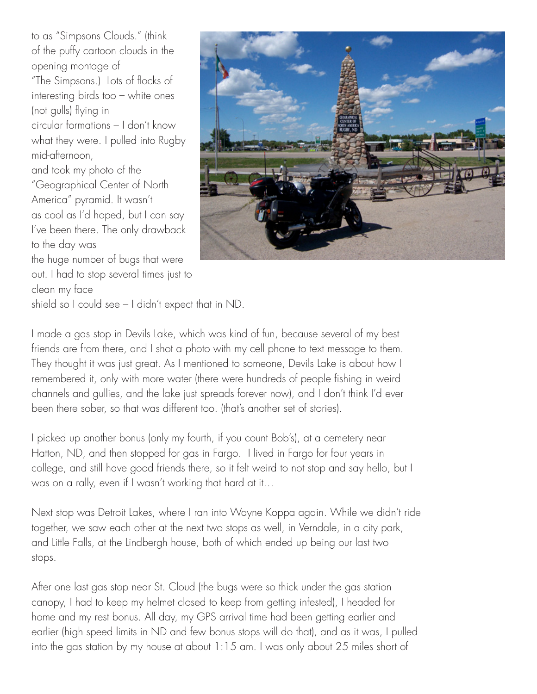to as "Simpsons Clouds." (think of the puffy cartoon clouds in the opening montage of "The Simpsons.) Lots of flocks of interesting birds too – white ones (not gulls) flying in circular formations – I don't know what they were. I pulled into Rugby mid-afternoon, and took my photo of the "Geographical Center of North America" pyramid. It wasn't as cool as I'd hoped, but I can say I've been there. The only drawback to the day was the huge number of bugs that were

clean my face



shield so I could see – I didn't expect that in ND.

I made a gas stop in Devils Lake, which was kind of fun, because several of my best friends are from there, and I shot a photo with my cell phone to text message to them. They thought it was just great. As I mentioned to someone, Devils Lake is about how I remembered it, only with more water (there were hundreds of people fishing in weird channels and gullies, and the lake just spreads forever now), and I don't think I'd ever been there sober, so that was different too. (that's another set of stories).

I picked up another bonus (only my fourth, if you count Bob's), at a cemetery near Hatton, ND, and then stopped for gas in Fargo. I lived in Fargo for four years in college, and still have good friends there, so it felt weird to not stop and say hello, but I was on a rally, even if I wasn't working that hard at it…

Next stop was Detroit Lakes, where I ran into Wayne Koppa again. While we didn't ride together, we saw each other at the next two stops as well, in Verndale, in a city park, and Little Falls, at the Lindbergh house, both of which ended up being our last two stops.

After one last gas stop near St. Cloud (the bugs were so thick under the gas station canopy, I had to keep my helmet closed to keep from getting infested), I headed for home and my rest bonus. All day, my GPS arrival time had been getting earlier and earlier (high speed limits in ND and few bonus stops will do that), and as it was, I pulled into the gas station by my house at about 1:15 am. I was only about 25 miles short of